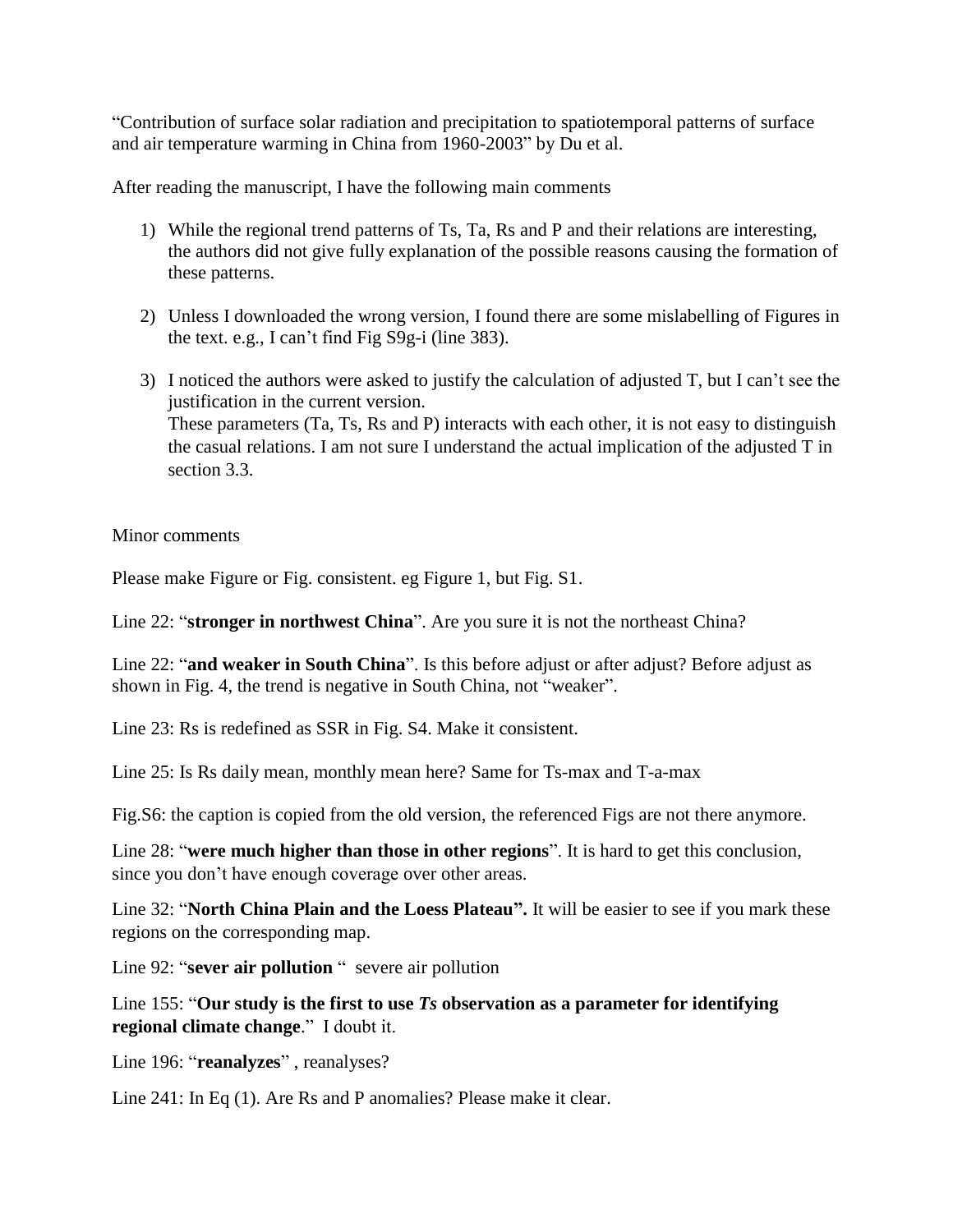"Contribution of surface solar radiation and precipitation to spatiotemporal patterns of surface and air temperature warming in China from 1960-2003" by Du et al.

After reading the manuscript, I have the following main comments

- 1) While the regional trend patterns of Ts, Ta, Rs and P and their relations are interesting, the authors did not give fully explanation of the possible reasons causing the formation of these patterns.
- 2) Unless I downloaded the wrong version, I found there are some mislabelling of Figures in the text. e.g., I can't find Fig S9g-i (line 383).
- 3) I noticed the authors were asked to justify the calculation of adjusted T, but I can't see the justification in the current version. These parameters (Ta, Ts, Rs and P) interacts with each other, it is not easy to distinguish the casual relations. I am not sure I understand the actual implication of the adjusted T in section 3.3.

Minor comments

Please make Figure or Fig. consistent. eg Figure 1, but Fig. S1.

Line 22: "**stronger in northwest China**". Are you sure it is not the northeast China?

Line 22: "**and weaker in South China**". Is this before adjust or after adjust? Before adjust as shown in Fig. 4, the trend is negative in South China, not "weaker".

Line 23: Rs is redefined as SSR in Fig. S4. Make it consistent.

Line 25: Is Rs daily mean, monthly mean here? Same for Ts-max and T-a-max

Fig.S6: the caption is copied from the old version, the referenced Figs are not there anymore.

Line 28: "**were much higher than those in other regions**". It is hard to get this conclusion, since you don't have enough coverage over other areas.

Line 32: "**North China Plain and the Loess Plateau".** It will be easier to see if you mark these regions on the corresponding map.

Line 92: "**sever air pollution** " severe air pollution

Line 155: "**Our study is the first to use** *Ts* **observation as a parameter for identifying regional climate change**." I doubt it.

Line 196: "**reanalyzes**" , reanalyses?

Line 241: In Eq (1). Are Rs and P anomalies? Please make it clear.